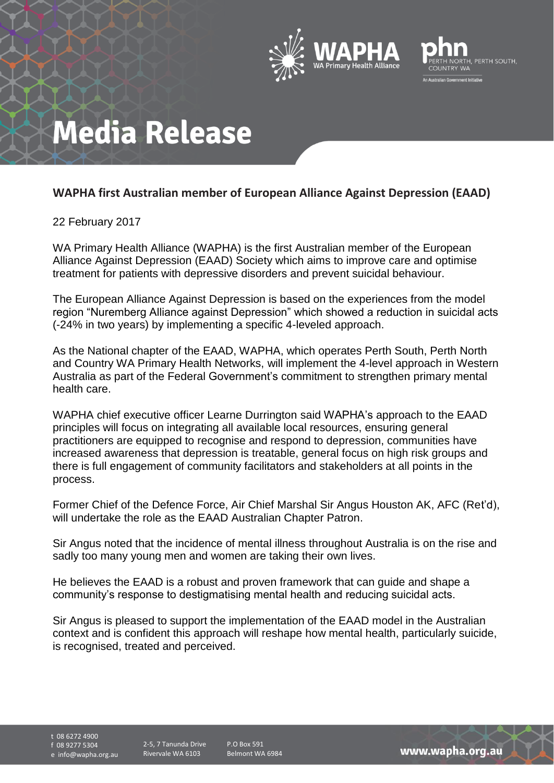



# **Media Release**

### **WAPHA first Australian member of European Alliance Against Depression (EAAD)**

### 22 February 2017

WA Primary Health Alliance (WAPHA) is the first Australian member of the European Alliance Against Depression (EAAD) Society which aims to improve care and optimise treatment for patients with depressive disorders and prevent suicidal behaviour.

The European Alliance Against Depression is based on the experiences from the model region "Nuremberg Alliance against Depression" which showed a reduction in suicidal acts (-24% in two years) by implementing a specific 4-leveled approach.

As the National chapter of the EAAD, WAPHA, which operates Perth South, Perth North and Country WA Primary Health Networks, will implement the 4-level approach in Western Australia as part of the Federal Government's commitment to strengthen primary mental health care.

WAPHA chief executive officer Learne Durrington said WAPHA's approach to the EAAD principles will focus on integrating all available local resources, ensuring general practitioners are equipped to recognise and respond to depression, communities have increased awareness that depression is treatable, general focus on high risk groups and there is full engagement of community facilitators and stakeholders at all points in the process.

Former Chief of the Defence Force, Air Chief Marshal Sir Angus Houston AK, AFC (Ret'd), will undertake the role as the EAAD Australian Chapter Patron.

Sir Angus noted that the incidence of mental illness throughout Australia is on the rise and sadly too many young men and women are taking their own lives.

He believes the EAAD is a robust and proven framework that can guide and shape a community's response to destigmatising mental health and reducing suicidal acts.

Sir Angus is pleased to support the implementation of the EAAD model in the Australian context and is confident this approach will reshape how mental health, particularly suicide, is recognised, treated and perceived.

t 08 6272 4900 f 08 9277 5304

e info@wapha.org.au

2-5, 7 Tanunda Drive Rivervale WA 6103

P.O Box 591 Belmont WA 6984

www.wapha.org.au